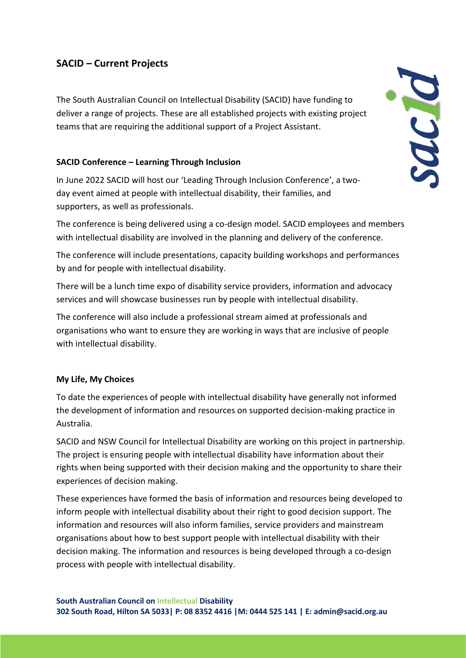# **SACID – Current Projects**

The South Australian Council on Intellectual Disability (SACID) have funding to deliver a range of projects. These are all established projects with existing project teams that are requiring the additional support of a Project Assistant.

# **SACID Conference – Learning Through Inclusion**

In June 2022 SACID will host our 'Leading Through Inclusion Conference', a twoday event aimed at people with intellectual disability, their families, and supporters, as well as professionals.

The conference is being delivered using a co-design model. SACID employees and members with intellectual disability are involved in the planning and delivery of the conference.

The conference will include presentations, capacity building workshops and performances by and for people with intellectual disability.

There will be a lunch time expo of disability service providers, information and advocacy services and will showcase businesses run by people with intellectual disability.

The conference will also include a professional stream aimed at professionals and organisations who want to ensure they are working in ways that are inclusive of people with intellectual disability.

### **My Life, My Choices**

To date the experiences of people with intellectual disability have generally not informed the development of information and resources on supported decision-making practice in Australia.

SACID and NSW Council for Intellectual Disability are working on this project in partnership. The project is ensuring people with intellectual disability have information about their rights when being supported with their decision making and the opportunity to share their experiences of decision making.

These experiences have formed the basis of information and resources being developed to inform people with intellectual disability about their right to good decision support. The information and resources will also inform families, service providers and mainstream organisations about how to best support people with intellectual disability with their decision making. The information and resources is being developed through a co-design process with people with intellectual disability.